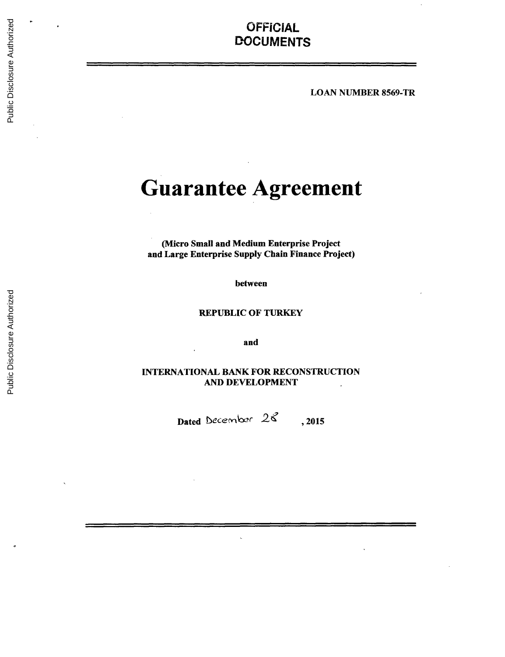# **OFFICIAL DOCUMENTS**

**LOAN** NUMBER 8569-TR

# **Guarantee Agreement**

(Micro Small and Medium Enterprise Project and Large Enterprise Supply Chain Finance Project)

between

REPUBLIC OF TURKEY

and

**INTERNATIONAL** BANK FOR **RECONSTRUCTION AND DEVELOPMENT**

Dated December  $26$ , 2015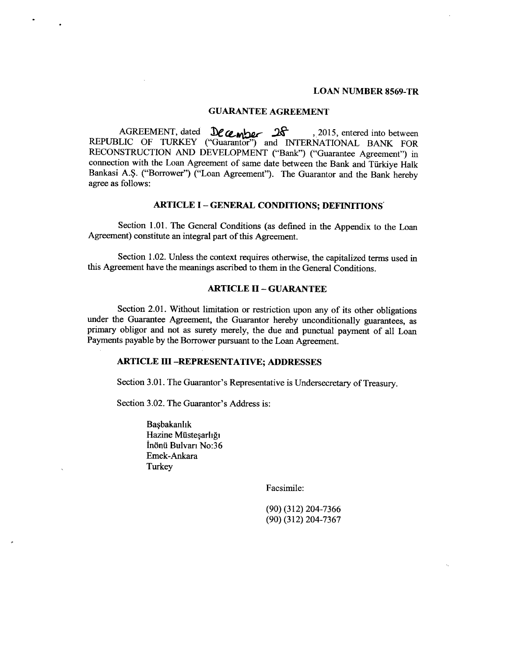#### **LOAN NUMBER 8569-TR**

### **GUARANTEE AGREEMENT**

AGREEMENT, dated  $\frac{D\ell}{L}$ <sub>0.</sub>  $\frac{D\ell}{2}$  , 2015, entered into between REPUBLIC OF TURKEY ("Guarantor") and **INTERNATIONAL** BANK FOR **RECONSTRUCTION AND DEVELOPMENT** ("Bank") ("Guarantee Agreement") in connection with the Loan Agreement of same date between the Bank and Tiirkiye Halk Bankasi **A.\$.** ("Borrower") ("Loan Agreement"). The Guarantor and the Bank hereby agree as follows:

## **ARTICLE I - GENERAL CONDITIONS; DEFINITIONS**

Section **1.01.** The General Conditions (as defined in the Appendix to the Loan Agreement) constitute an integral part of this Agreement.

Section 1.02. Unless the context requires otherwise, the capitalized terms used in this Agreement have the meanings ascribed to them in the General Conditions.

#### **ARTICLE II - GUARANTEE**

Section 2.01. Without limitation or restriction upon any of its other obligations under the Guarantee Agreement, the Guarantor hereby unconditionally guarantees, as primary obligor and not as surety merely, the due and punctual payment of all Loan Payments payable **by** the Borrower pursuant to the Loan Agreement.

### **ARTICLE III -REPRESENTATIVE; ADDRESSES**

Section **3.01.** The Guarantor's Representative is Undersecretary of Treasury.

Section **3.02.** The Guarantor's Address is:

Başbakanlık Hazine Müsteşarlığı In6nti Bulvari No:36 Emek-Ankara **Turkey** 

Facsimile:

**(90) (312) 204-7366 (90) (312) 204-7367**